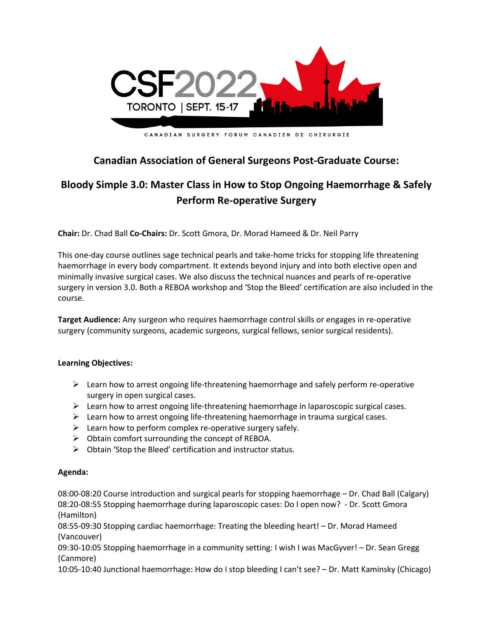

# **Canadian Association of General Surgeons Post-Graduate Course:**

# **Bloody Simple 3.0: Master Class in How to Stop Ongoing Haemorrhage & Safely Perform Re-operative Surgery**

**Chair:** Dr. Chad Ball **Co-Chairs:** Dr. Scott Gmora, Dr. Morad Hameed & Dr. Neil Parry

This one-day course outlines sage technical pearls and take-home tricks for stopping life threatening haemorrhage in every body compartment. It extends beyond injury and into both elective open and minimally invasive surgical cases. We also discuss the technical nuances and pearls of re-operative surgery in version 3.0. Both a REBOA workshop and 'Stop the Bleed' certification are also included in the course.

**Target Audience:** Any surgeon who requires haemorrhage control skills or engages in re-operative surgery (community surgeons, academic surgeons, surgical fellows, senior surgical residents).

## **Learning Objectives:**

- $\triangleright$  Learn how to arrest ongoing life-threatening haemorrhage and safely perform re-operative surgery in open surgical cases.
- ➢ Learn how to arrest ongoing life-threatening haemorrhage in laparoscopic surgical cases.
- $\triangleright$  Learn how to arrest ongoing life-threatening haemorrhage in trauma surgical cases.
- $\triangleright$  Learn how to perform complex re-operative surgery safely.
- $\triangleright$  Obtain comfort surrounding the concept of REBOA.
- ➢ Obtain 'Stop the Bleed' certification and instructor status.

#### **Agenda:**

08:00-08:20 Course introduction and surgical pearls for stopping haemorrhage – Dr. Chad Ball (Calgary) 08:20-08:55 Stopping haemorrhage during laparoscopic cases: Do I open now? - Dr. Scott Gmora (Hamilton)

08:55-09:30 Stopping cardiac haemorrhage: Treating the bleeding heart! – Dr. Morad Hameed (Vancouver)

09:30-10:05 Stopping haemorrhage in a community setting: I wish I was MacGyver! – Dr. Sean Gregg (Canmore)

10:05-10:40 Junctional haemorrhage: How do I stop bleeding I can't see? – Dr. Matt Kaminsky (Chicago)